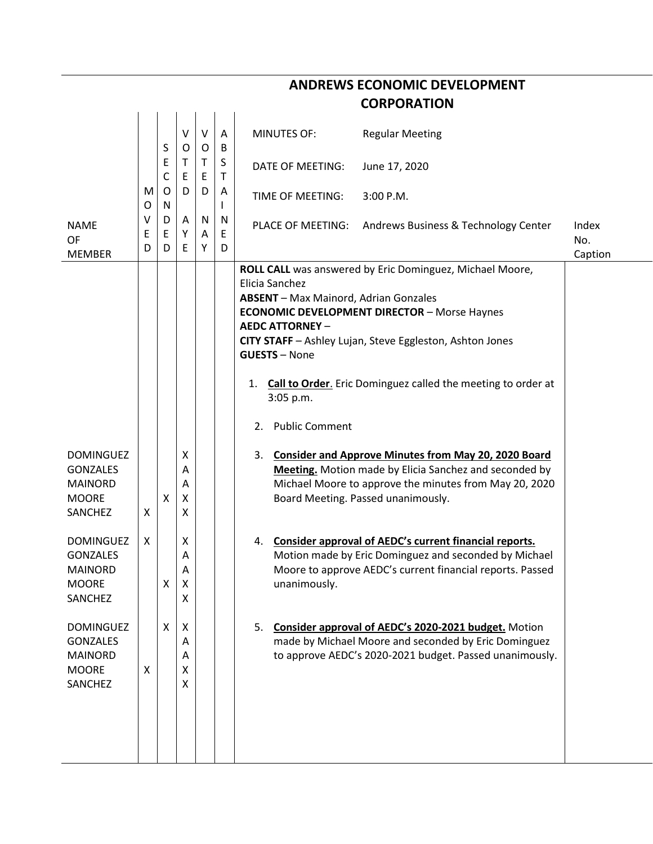|                                                                                         |                   |             |                       |                   |                         |                                                                                                                                                          | <b>CORPORATION</b>                                                                                                                                                                                                                          |                         |
|-----------------------------------------------------------------------------------------|-------------------|-------------|-----------------------|-------------------|-------------------------|----------------------------------------------------------------------------------------------------------------------------------------------------------|---------------------------------------------------------------------------------------------------------------------------------------------------------------------------------------------------------------------------------------------|-------------------------|
|                                                                                         |                   | S           | V<br>O                | $\vee$<br>$\circ$ | A<br>B                  | <b>MINUTES OF:</b>                                                                                                                                       | <b>Regular Meeting</b>                                                                                                                                                                                                                      |                         |
|                                                                                         | Ε<br>$\mathsf{C}$ | Τ<br>Ε      | T.<br>E               | S<br>T            | <b>DATE OF MEETING:</b> | June 17, 2020                                                                                                                                            |                                                                                                                                                                                                                                             |                         |
|                                                                                         | M<br>O            | O<br>N      | D                     | D                 | A                       | TIME OF MEETING:                                                                                                                                         | 3:00 P.M.                                                                                                                                                                                                                                   |                         |
| <b>NAME</b><br><b>OF</b><br><b>MEMBER</b>                                               | ٧<br>Е<br>D       | D<br>Ε<br>D | Α<br>Y<br>E           | N<br>Α<br>Υ       | N<br>E<br>D             |                                                                                                                                                          | PLACE OF MEETING: Andrews Business & Technology Center                                                                                                                                                                                      | Index<br>No.<br>Caption |
|                                                                                         |                   |             |                       |                   |                         | Elicia Sanchez<br><b>ABSENT</b> - Max Mainord, Adrian Gonzales<br><b>AEDC ATTORNEY -</b><br><b>GUESTS - None</b><br>1.<br>3:05 p.m.<br>2. Public Comment | ROLL CALL was answered by Eric Dominguez, Michael Moore,<br><b>ECONOMIC DEVELOPMENT DIRECTOR - Morse Haynes</b><br>CITY STAFF - Ashley Lujan, Steve Eggleston, Ashton Jones<br>Call to Order. Eric Dominguez called the meeting to order at |                         |
| <b>DOMINGUEZ</b><br><b>GONZALES</b><br><b>MAINORD</b><br><b>MOORE</b><br><b>SANCHEZ</b> | X                 | X           | X<br>Α<br>Α<br>Χ<br>X |                   |                         | 3.<br>Board Meeting. Passed unanimously.                                                                                                                 | <b>Consider and Approve Minutes from May 20, 2020 Board</b><br>Meeting. Motion made by Elicia Sanchez and seconded by<br>Michael Moore to approve the minutes from May 20, 2020                                                             |                         |
| <b>DOMINGUEZ</b><br><b>GONZALES</b><br><b>MAINORD</b><br><b>MOORE</b><br>SANCHEZ        | X                 | X           | X<br>Α<br>А<br>X<br>X |                   |                         | 4.<br>unanimously.                                                                                                                                       | Consider approval of AEDC's current financial reports.<br>Motion made by Eric Dominguez and seconded by Michael<br>Moore to approve AEDC's current financial reports. Passed                                                                |                         |
| <b>DOMINGUEZ</b><br><b>GONZALES</b><br><b>MAINORD</b><br><b>MOORE</b><br>SANCHEZ        | X                 | X           | X<br>Α<br>Α<br>X<br>X |                   |                         |                                                                                                                                                          | 5. Consider approval of AEDC's 2020-2021 budget. Motion<br>made by Michael Moore and seconded by Eric Dominguez<br>to approve AEDC's 2020-2021 budget. Passed unanimously.                                                                  |                         |

**ANDREWS ECONOMIC DEVELOPMENT**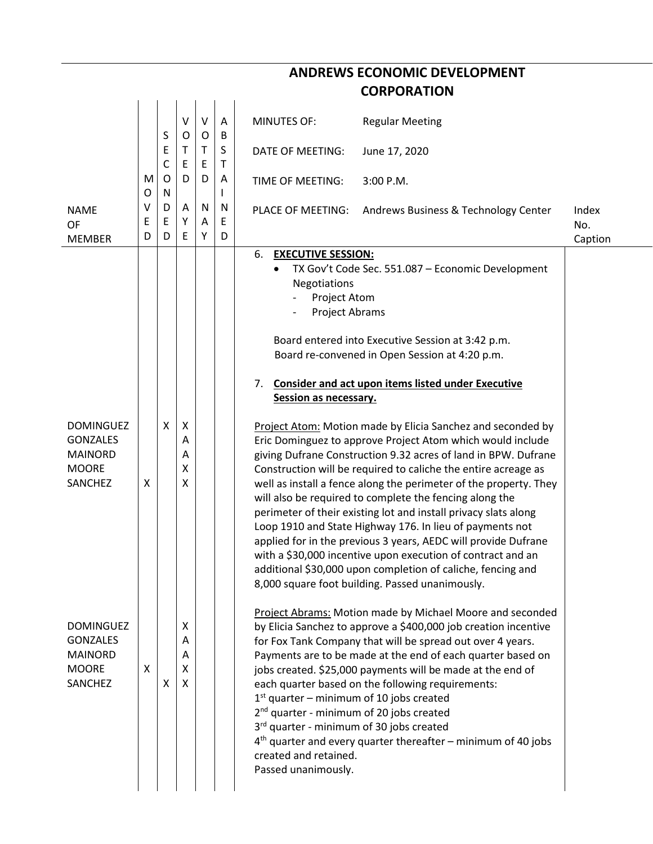|                                                                                  |                  |                  |                       |              |             | <b>ANDREWS ECONOMIC DEVELOPMENT</b>                                                                                                                                                                                                                                                                                                                                                                                                                                                                                                                                                                                                                                                                                                                                             |                         |
|----------------------------------------------------------------------------------|------------------|------------------|-----------------------|--------------|-------------|---------------------------------------------------------------------------------------------------------------------------------------------------------------------------------------------------------------------------------------------------------------------------------------------------------------------------------------------------------------------------------------------------------------------------------------------------------------------------------------------------------------------------------------------------------------------------------------------------------------------------------------------------------------------------------------------------------------------------------------------------------------------------------|-------------------------|
|                                                                                  |                  |                  |                       |              |             | <b>CORPORATION</b>                                                                                                                                                                                                                                                                                                                                                                                                                                                                                                                                                                                                                                                                                                                                                              |                         |
|                                                                                  |                  |                  |                       |              |             |                                                                                                                                                                                                                                                                                                                                                                                                                                                                                                                                                                                                                                                                                                                                                                                 |                         |
|                                                                                  |                  | S                | V<br>O                | $\sf V$<br>0 | A<br>B      | <b>MINUTES OF:</b><br><b>Regular Meeting</b>                                                                                                                                                                                                                                                                                                                                                                                                                                                                                                                                                                                                                                                                                                                                    |                         |
|                                                                                  |                  | E<br>C           | Τ<br>E                | T.<br>E      | S<br>т      | DATE OF MEETING:<br>June 17, 2020                                                                                                                                                                                                                                                                                                                                                                                                                                                                                                                                                                                                                                                                                                                                               |                         |
|                                                                                  | M                | O                | D                     | D            | A           | 3:00 P.M.<br>TIME OF MEETING:                                                                                                                                                                                                                                                                                                                                                                                                                                                                                                                                                                                                                                                                                                                                                   |                         |
| <b>NAME</b><br>OF<br><b>MEMBER</b>                                               | O<br>٧<br>E<br>D | N<br>D<br>E<br>D | A<br>Υ<br>E           | N<br>A<br>Y  | N<br>Е<br>D | PLACE OF MEETING:<br>Andrews Business & Technology Center                                                                                                                                                                                                                                                                                                                                                                                                                                                                                                                                                                                                                                                                                                                       | Index<br>No.<br>Caption |
|                                                                                  |                  |                  |                       |              |             | 6.<br><b>EXECUTIVE SESSION:</b>                                                                                                                                                                                                                                                                                                                                                                                                                                                                                                                                                                                                                                                                                                                                                 |                         |
|                                                                                  |                  |                  |                       |              |             | TX Gov't Code Sec. 551.087 - Economic Development<br><b>Negotiations</b><br>Project Atom<br>Project Abrams                                                                                                                                                                                                                                                                                                                                                                                                                                                                                                                                                                                                                                                                      |                         |
|                                                                                  |                  |                  |                       |              |             | Board entered into Executive Session at 3:42 p.m.<br>Board re-convened in Open Session at 4:20 p.m.                                                                                                                                                                                                                                                                                                                                                                                                                                                                                                                                                                                                                                                                             |                         |
|                                                                                  |                  |                  |                       |              |             | <b>Consider and act upon items listed under Executive</b><br>7.<br>Session as necessary.                                                                                                                                                                                                                                                                                                                                                                                                                                                                                                                                                                                                                                                                                        |                         |
| <b>DOMINGUEZ</b><br><b>GONZALES</b><br><b>MAINORD</b><br><b>MOORE</b><br>SANCHEZ | X                | X                | X<br>Α<br>Α<br>x<br>X |              |             | Project Atom: Motion made by Elicia Sanchez and seconded by<br>Eric Dominguez to approve Project Atom which would include<br>giving Dufrane Construction 9.32 acres of land in BPW. Dufrane<br>Construction will be required to caliche the entire acreage as<br>well as install a fence along the perimeter of the property. They<br>will also be required to complete the fencing along the<br>perimeter of their existing lot and install privacy slats along<br>Loop 1910 and State Highway 176. In lieu of payments not<br>applied for in the previous 3 years, AEDC will provide Dufrane<br>with a \$30,000 incentive upon execution of contract and an<br>additional \$30,000 upon completion of caliche, fencing and<br>8,000 square foot building. Passed unanimously. |                         |
| <b>DOMINGUEZ</b><br><b>GONZALES</b><br><b>MAINORD</b><br><b>MOORE</b><br>SANCHEZ | X                | X                | X<br>A<br>Α<br>X<br>X |              |             | <b>Project Abrams: Motion made by Michael Moore and seconded</b><br>by Elicia Sanchez to approve a \$400,000 job creation incentive<br>for Fox Tank Company that will be spread out over 4 years.<br>Payments are to be made at the end of each quarter based on<br>jobs created. \$25,000 payments will be made at the end of<br>each quarter based on the following requirements:<br>$1st$ quarter – minimum of 10 jobs created<br>2 <sup>nd</sup> quarter - minimum of 20 jobs created<br>3rd quarter - minimum of 30 jobs created<br>$4th$ quarter and every quarter thereafter – minimum of 40 jobs<br>created and retained.<br>Passed unanimously.                                                                                                                        |                         |